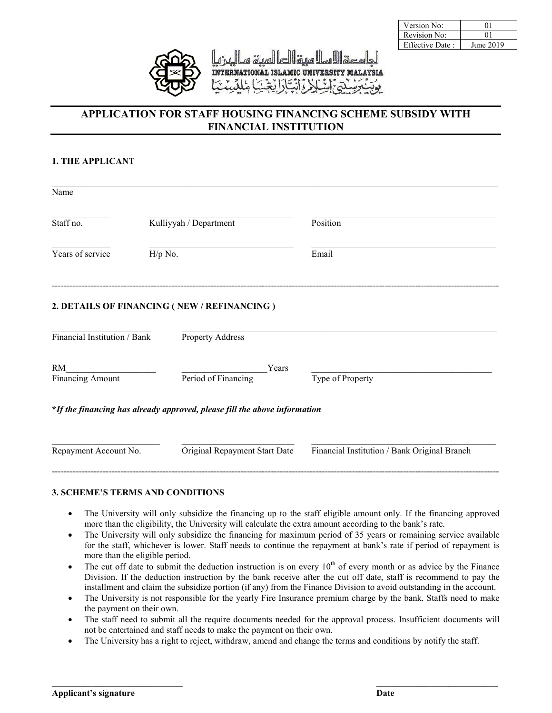

| Version No:            |           |
|------------------------|-----------|
| Revision No:           |           |
| <b>Effective Date:</b> | June 2019 |

# **APPLICATION FOR STAFF HOUSING FINANCING SCHEME SUBSIDY WITH FINANCIAL INSTITUTION**

### **1. THE APPLICANT**

| Name                          |                        |                                                                           |                                              |
|-------------------------------|------------------------|---------------------------------------------------------------------------|----------------------------------------------|
| Staff no.                     | Kulliyyah / Department |                                                                           | Position                                     |
| Years of service<br>$H/p$ No. |                        |                                                                           | Email                                        |
|                               |                        | 2. DETAILS OF FINANCING (NEW / REFINANCING)                               |                                              |
| Financial Institution / Bank  |                        | <b>Property Address</b>                                                   |                                              |
| RM                            |                        | Years                                                                     |                                              |
| <b>Financing Amount</b>       |                        | Period of Financing                                                       | Type of Property                             |
|                               |                        | *If the financing has already approved, please fill the above information |                                              |
| Repayment Account No.         |                        | Original Repayment Start Date                                             | Financial Institution / Bank Original Branch |

### **3. SCHEME'S TERMS AND CONDITIONS**

- The University will only subsidize the financing up to the staff eligible amount only. If the financing approved more than the eligibility, the University will calculate the extra amount according to the bank's rate.
- The University will only subsidize the financing for maximum period of 35 years or remaining service available for the staff, whichever is lower. Staff needs to continue the repayment at bank's rate if period of repayment is more than the eligible period.
- The cut off date to submit the deduction instruction is on every  $10<sup>th</sup>$  of every month or as advice by the Finance Division. If the deduction instruction by the bank receive after the cut off date, staff is recommend to pay the installment and claim the subsidize portion (if any) from the Finance Division to avoid outstanding in the account.
- The University is not responsible for the yearly Fire Insurance premium charge by the bank. Staffs need to make the payment on their own.
- The staff need to submit all the require documents needed for the approval process. Insufficient documents will not be entertained and staff needs to make the payment on their own.
- The University has a right to reject, withdraw, amend and change the terms and conditions by notify the staff.

 $\_$  , and the contribution of the contribution of  $\mathcal{L}_\mathcal{A}$  , and the contribution of  $\_$  , and the contribution of  $\mathcal{L}_\mathcal{A}$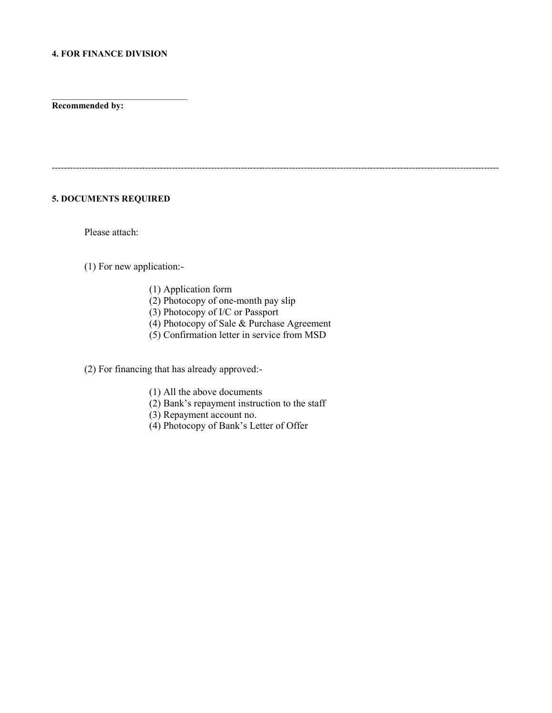#### **4. FOR FINANCE DIVISION**

 $\overline{\phantom{a}}$  , and the set of the set of the set of the set of the set of the set of the set of the set of the set of the set of the set of the set of the set of the set of the set of the set of the set of the set of the s

**Recommended by:**

# -----------------------------------------------------------------------------------------------------------------------------------------------------

# **5. DOCUMENTS REQUIRED**

Please attach:

### (1) For new application:-

- (1) Application form
- $(2)$  Photocopy of one-month pay slip
- (3) Photocopy of I/C or Passport
- (4) Photocopy of Sale & Purchase Agreement
- (5) Confirmation letter in service from MSD

(2) For financing that has already approved:-

- (1) All the above documents
- (2) Bank's repayment instruction to the staff
- (3) Repayment account no.
- (4) Photocopy of Bank's Letter of Offer